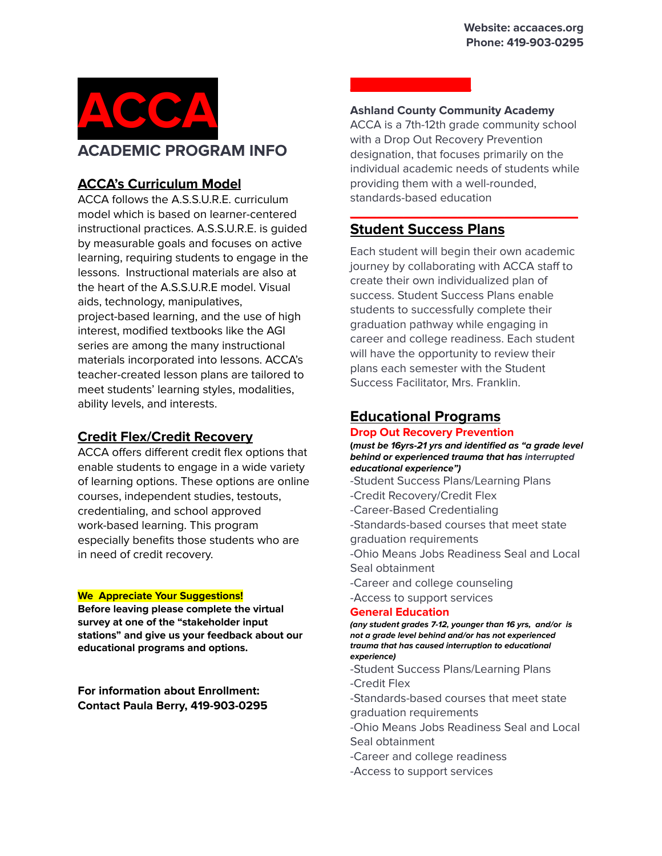

# **ACCA's Curriculum Model**

ACCA follows the A.S.S.U.R.E. curriculum model which is based on learner-centered instructional practices. A.S.S.U.R.E. is guided by measurable goals and focuses on active learning, requiring students to engage in the lessons. Instructional materials are also at the heart of the A.S.S.U.R.E model. Visual aids, technology, manipulatives, project-based learning, and the use of high interest, modified textbooks like the AGI series are among the many instructional materials incorporated into lessons. ACCA's teacher-created lesson plans are tailored to meet students' learning styles, modalities, ability levels, and interests.

### **Credit Flex/Credit Recovery**

ACCA offers different credit flex options that enable students to engage in a wide variety of learning options. These options are online courses, independent studies, testouts, credentialing, and school approved work-based learning. This program especially benefits those students who are in need of credit recovery.

#### **We Appreciate Your Suggestions!**

**Before leaving please complete the virtual survey at one of the "stakeholder input stations" and give us your feedback about our educational programs and options.**

**For information about Enrollment: Contact Paula Berry, 419-903-0295**

#### **Ashland County Community Academy**

ACCA is a 7th-12th grade community school with a Drop Out Recovery Prevention designation, that focuses primarily on the individual academic needs of students while providing them with a well-rounded, standards-based education

**\_\_\_\_\_\_\_\_\_\_\_\_\_\_\_\_\_\_\_\_\_\_\_\_\_\_\_\_\_\_\_\_\_\_**

## **Student Success Plans**

**\_\_\_\_\_\_\_\_\_\_\_\_\_\_\_\_\_\_**

Each student will begin their own academic journey by collaborating with ACCA staff to create their own individualized plan of success. Student Success Plans enable students to successfully complete their graduation pathway while engaging in career and college readiness. Each student will have the opportunity to review their plans each semester with the Student Success Facilitator, Mrs. Franklin.

# **Educational Programs**

#### **Drop Out Recovery Prevention**

**(must be 16yrs-21 yrs and identified as "a grade level behind or experienced trauma that has interrupted educational experience")**

-Student Success Plans/Learning Plans -Credit Recovery/Credit Flex

-Career-Based Credentialing

-Standards-based courses that meet state

graduation requirements

-Ohio Means Jobs Readiness Seal and Local Seal obtainment

-Career and college counseling

-Access to support services

#### **General Education**

**(any student grades 7-12, younger than 16 yrs, and/or is not a grade level behind and/or has not experienced trauma that has caused interruption to educational experience)**

-Student Success Plans/Learning Plans -Credit Flex

-Standards-based courses that meet state graduation requirements

-Ohio Means Jobs Readiness Seal and Local Seal obtainment

-Career and college readiness

-Access to support services